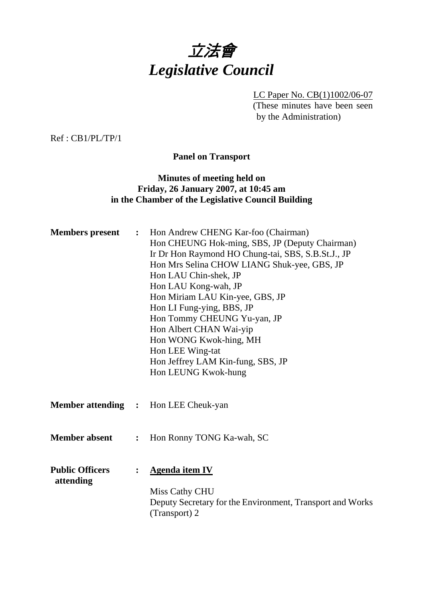

LC Paper No. CB(1)1002/06-07 (These minutes have been seen by the Administration)

Ref : CB1/PL/TP/1

**Panel on Transport** 

# **Minutes of meeting held on Friday, 26 January 2007, at 10:45 am in the Chamber of the Legislative Council Building**

| Hon CHEUNG Hok-ming, SBS, JP (Deputy Chairman)            |
|-----------------------------------------------------------|
| Ir Dr Hon Raymond HO Chung-tai, SBS, S.B.St.J., JP        |
| Hon Mrs Selina CHOW LIANG Shuk-yee, GBS, JP               |
|                                                           |
|                                                           |
|                                                           |
|                                                           |
|                                                           |
|                                                           |
|                                                           |
|                                                           |
|                                                           |
|                                                           |
|                                                           |
|                                                           |
|                                                           |
|                                                           |
|                                                           |
|                                                           |
|                                                           |
|                                                           |
|                                                           |
| Deputy Secretary for the Environment, Transport and Works |
|                                                           |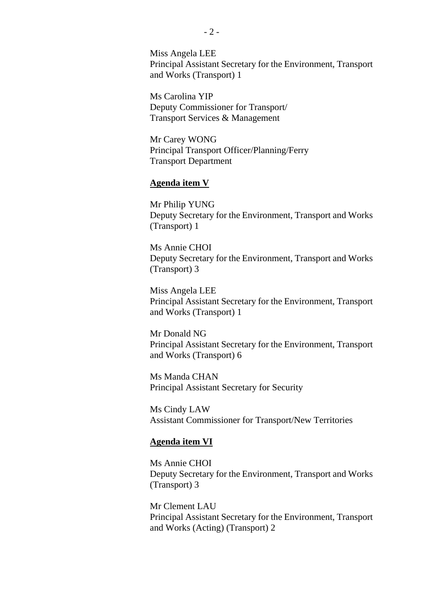Miss Angela LEE Principal Assistant Secretary for the Environment, Transport and Works (Transport) 1

Ms Carolina YIP Deputy Commissioner for Transport/ Transport Services & Management

Mr Carey WONG Principal Transport Officer/Planning/Ferry Transport Department

#### **Agenda item V**

Mr Philip YUNG Deputy Secretary for the Environment, Transport and Works (Transport) 1

Ms Annie CHOI Deputy Secretary for the Environment, Transport and Works (Transport) 3

Miss Angela LEE Principal Assistant Secretary for the Environment, Transport and Works (Transport) 1

Mr Donald NG Principal Assistant Secretary for the Environment, Transport and Works (Transport) 6

Ms Manda CHAN Principal Assistant Secretary for Security

Ms Cindy LAW Assistant Commissioner for Transport/New Territories

#### **Agenda item VI**

Ms Annie CHOI Deputy Secretary for the Environment, Transport and Works (Transport) 3

Mr Clement LAU Principal Assistant Secretary for the Environment, Transport and Works (Acting) (Transport) 2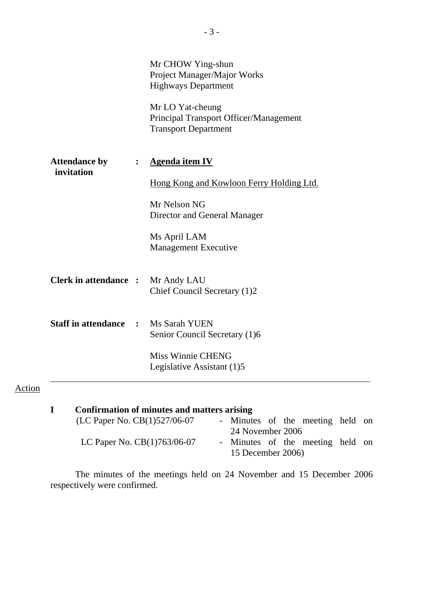|                                    |                | Mr CHOW Ying-shun<br>Project Manager/Major Works<br><b>Highways Department</b><br>Mr LO Yat-cheung<br>Principal Transport Officer/Management<br><b>Transport Department</b> |
|------------------------------------|----------------|-----------------------------------------------------------------------------------------------------------------------------------------------------------------------------|
| <b>Attendance by</b><br>invitation | $\ddot{\cdot}$ | <b>Agenda item IV</b><br>Hong Kong and Kowloon Ferry Holding Ltd.<br>Mr Nelson NG<br>Director and General Manager<br>Ms April LAM<br><b>Management Executive</b>            |
| <b>Clerk in attendance :</b>       |                | Mr Andy LAU<br>Chief Council Secretary (1)2                                                                                                                                 |
| <b>Staff in attendance</b>         | $\ddot{\cdot}$ | Ms Sarah YUEN<br>Senior Council Secretary (1)6<br><b>Miss Winnie CHENG</b><br>Legislative Assistant (1)5                                                                    |

# **I Confirmation of minutes and matters arising**

Action

| (LC Paper No. CB(1)527/06-07  | - Minutes of the meeting held on |  |  |  |
|-------------------------------|----------------------------------|--|--|--|
|                               | 24 November 2006                 |  |  |  |
| LC Paper No. $CB(1)763/06-07$ | - Minutes of the meeting held on |  |  |  |
|                               | 15 December 2006)                |  |  |  |

 The minutes of the meetings held on 24 November and 15 December 2006 respectively were confirmed.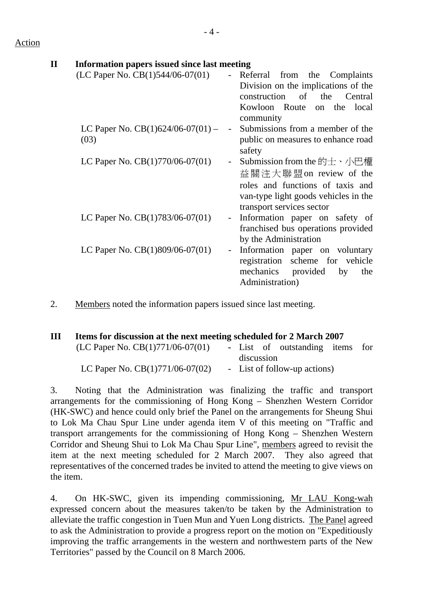## **II Information papers issued since last meeting**

| Referral from the Complaints                                                                                            |
|-------------------------------------------------------------------------------------------------------------------------|
| Division on the implications of the<br>construction of the Central                                                      |
| Kowloon Route<br>on the local<br>community                                                                              |
| Submissions from a member of the<br>public on measures to enhance road<br>safety                                        |
| Submission from the 的士、小巴權<br>$\blacksquare$<br>益關注大聯盟on review of the<br>roles and functions of taxis and              |
| van-type light goods vehicles in the<br>transport services sector                                                       |
| Information paper on safety of<br>$\blacksquare$<br>franchised bus operations provided<br>by the Administration         |
| Information paper on voluntary<br>registration scheme for vehicle<br>mechanics provided<br>by<br>the<br>Administration) |
|                                                                                                                         |

2. Members noted the information papers issued since last meeting.

| (LC Paper No. $CB(1)771/06-07(01)$ ) |                              |  |  |  |  |                                                                                                        |
|--------------------------------------|------------------------------|--|--|--|--|--------------------------------------------------------------------------------------------------------|
|                                      | discussion                   |  |  |  |  |                                                                                                        |
| LC Paper No. $CB(1)771/06-07(02)$    | - List of follow-up actions) |  |  |  |  |                                                                                                        |
|                                      |                              |  |  |  |  | Items for discussion at the next meeting scheduled for 2 March 2007<br>- List of outstanding items for |

3. Noting that the Administration was finalizing the traffic and transport arrangements for the commissioning of Hong Kong – Shenzhen Western Corridor (HK-SWC) and hence could only brief the Panel on the arrangements for Sheung Shui to Lok Ma Chau Spur Line under agenda item V of this meeting on "Traffic and transport arrangements for the commissioning of Hong Kong – Shenzhen Western Corridor and Sheung Shui to Lok Ma Chau Spur Line", members agreed to revisit the item at the next meeting scheduled for 2 March 2007. They also agreed that representatives of the concerned trades be invited to attend the meeting to give views on the item.

4. On HK-SWC, given its impending commissioning, Mr LAU Kong-wah expressed concern about the measures taken/to be taken by the Administration to alleviate the traffic congestion in Tuen Mun and Yuen Long districts. The Panel agreed to ask the Administration to provide a progress report on the motion on "Expeditiously improving the traffic arrangements in the western and northwestern parts of the New Territories" passed by the Council on 8 March 2006.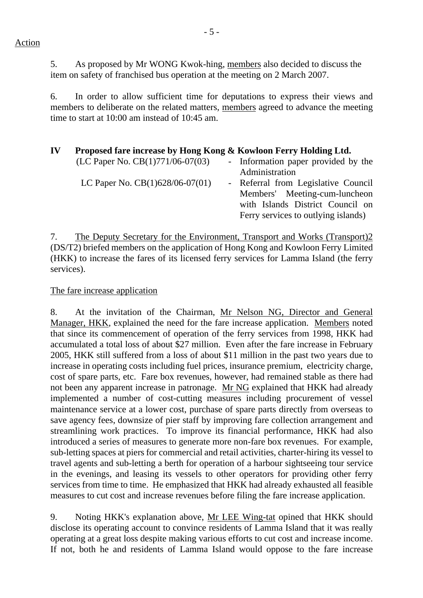Action

5. As proposed by Mr WONG Kwok-hing, members also decided to discuss the item on safety of franchised bus operation at the meeting on 2 March 2007.

6. In order to allow sufficient time for deputations to express their views and members to deliberate on the related matters, members agreed to advance the meeting time to start at 10:00 am instead of 10:45 am.

## **IV Proposed fare increase by Hong Kong & Kowloon Ferry Holding Ltd.**   $(LC$  Paper No.  $CB(1)771/06-07(03)$  - Information paper provided by the Administration LC Paper No. CB(1)628/06-07(01) - Referral from Legislative Council Members' Meeting-cum-luncheon with Islands District Council on Ferry services to outlying islands)

7. The Deputy Secretary for the Environment, Transport and Works (Transport)2 (DS/T2) briefed members on the application of Hong Kong and Kowloon Ferry Limited (HKK) to increase the fares of its licensed ferry services for Lamma Island (the ferry services).

# The fare increase application

8. At the invitation of the Chairman, Mr Nelson NG, Director and General Manager, HKK, explained the need for the fare increase application. Members noted that since its commencement of operation of the ferry services from 1998, HKK had accumulated a total loss of about \$27 million. Even after the fare increase in February 2005, HKK still suffered from a loss of about \$11 million in the past two years due to increase in operating costs including fuel prices, insurance premium, electricity charge, cost of spare parts, etc. Fare box revenues, however, had remained stable as there had not been any apparent increase in patronage. Mr NG explained that HKK had already implemented a number of cost-cutting measures including procurement of vessel maintenance service at a lower cost, purchase of spare parts directly from overseas to save agency fees, downsize of pier staff by improving fare collection arrangement and streamlining work practices. To improve its financial performance, HKK had also introduced a series of measures to generate more non-fare box revenues. For example, sub-letting spaces at piers for commercial and retail activities, charter-hiring its vessel to travel agents and sub-letting a berth for operation of a harbour sightseeing tour service in the evenings, and leasing its vessels to other operators for providing other ferry services from time to time. He emphasized that HKK had already exhausted all feasible measures to cut cost and increase revenues before filing the fare increase application.

9. Noting HKK's explanation above, Mr LEE Wing-tat opined that HKK should disclose its operating account to convince residents of Lamma Island that it was really operating at a great loss despite making various efforts to cut cost and increase income. If not, both he and residents of Lamma Island would oppose to the fare increase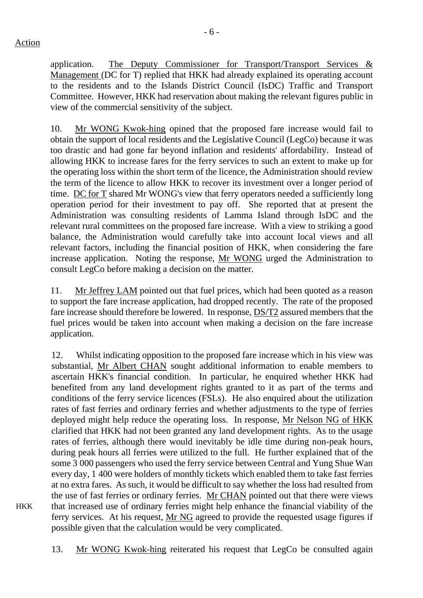application. The Deputy Commissioner for Transport/Transport Services & Management (DC for T) replied that HKK had already explained its operating account to the residents and to the Islands District Council (IsDC) Traffic and Transport Committee. However, HKK had reservation about making the relevant figures public in view of the commercial sensitivity of the subject.

10. Mr WONG Kwok-hing opined that the proposed fare increase would fail to obtain the support of local residents and the Legislative Council (LegCo) because it was too drastic and had gone far beyond inflation and residents' affordability. Instead of allowing HKK to increase fares for the ferry services to such an extent to make up for the operating loss within the short term of the licence, the Administration should review the term of the licence to allow HKK to recover its investment over a longer period of time. DC for T shared Mr WONG's view that ferry operators needed a sufficiently long operation period for their investment to pay off. She reported that at present the Administration was consulting residents of Lamma Island through IsDC and the relevant rural committees on the proposed fare increase. With a view to striking a good balance, the Administration would carefully take into account local views and all relevant factors, including the financial position of HKK, when considering the fare increase application. Noting the response, Mr WONG urged the Administration to consult LegCo before making a decision on the matter.

11. Mr Jeffrey LAM pointed out that fuel prices, which had been quoted as a reason to support the fare increase application, had dropped recently. The rate of the proposed fare increase should therefore be lowered. In response, DS/T2 assured members that the fuel prices would be taken into account when making a decision on the fare increase application.

12. Whilst indicating opposition to the proposed fare increase which in his view was substantial, Mr Albert CHAN sought additional information to enable members to ascertain HKK's financial condition. In particular, he enquired whether HKK had benefited from any land development rights granted to it as part of the terms and conditions of the ferry service licences (FSLs). He also enquired about the utilization rates of fast ferries and ordinary ferries and whether adjustments to the type of ferries deployed might help reduce the operating loss. In response, Mr Nelson NG of HKK clarified that HKK had not been granted any land development rights. As to the usage rates of ferries, although there would inevitably be idle time during non-peak hours, during peak hours all ferries were utilized to the full. He further explained that of the some 3 000 passengers who used the ferry service between Central and Yung Shue Wan every day, 1 400 were holders of monthly tickets which enabled them to take fast ferries at no extra fares. As such, it would be difficult to say whether the loss had resulted from the use of fast ferries or ordinary ferries. Mr CHAN pointed out that there were views that increased use of ordinary ferries might help enhance the financial viability of the ferry services. At his request, Mr NG agreed to provide the requested usage figures if possible given that the calculation would be very complicated.

HKK

13. Mr WONG Kwok-hing reiterated his request that LegCo be consulted again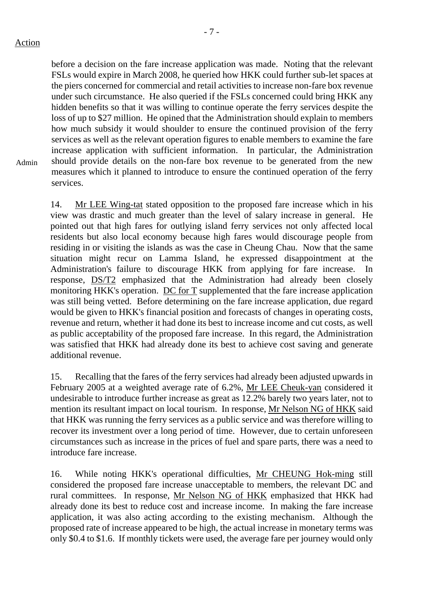before a decision on the fare increase application was made. Noting that the relevant FSLs would expire in March 2008, he queried how HKK could further sub-let spaces at the piers concerned for commercial and retail activities to increase non-fare box revenue under such circumstance. He also queried if the FSLs concerned could bring HKK any hidden benefits so that it was willing to continue operate the ferry services despite the loss of up to \$27 million. He opined that the Administration should explain to members how much subsidy it would shoulder to ensure the continued provision of the ferry services as well as the relevant operation figures to enable members to examine the fare increase application with sufficient information. In particular, the Administration should provide details on the non-fare box revenue to be generated from the new measures which it planned to introduce to ensure the continued operation of the ferry services.

Admin

14. Mr LEE Wing-tat stated opposition to the proposed fare increase which in his view was drastic and much greater than the level of salary increase in general. He pointed out that high fares for outlying island ferry services not only affected local residents but also local economy because high fares would discourage people from residing in or visiting the islands as was the case in Cheung Chau. Now that the same situation might recur on Lamma Island, he expressed disappointment at the Administration's failure to discourage HKK from applying for fare increase. response, DS/T2 emphasized that the Administration had already been closely monitoring HKK's operation. DC for T supplemented that the fare increase application was still being vetted. Before determining on the fare increase application, due regard would be given to HKK's financial position and forecasts of changes in operating costs, revenue and return, whether it had done its best to increase income and cut costs, as well as public acceptability of the proposed fare increase. In this regard, the Administration was satisfied that HKK had already done its best to achieve cost saving and generate additional revenue.

15. Recalling that the fares of the ferry services had already been adjusted upwards in February 2005 at a weighted average rate of 6.2%, Mr LEE Cheuk-yan considered it undesirable to introduce further increase as great as 12.2% barely two years later, not to mention its resultant impact on local tourism. In response, Mr Nelson NG of HKK said that HKK was running the ferry services as a public service and was therefore willing to recover its investment over a long period of time. However, due to certain unforeseen circumstances such as increase in the prices of fuel and spare parts, there was a need to introduce fare increase.

16. While noting HKK's operational difficulties, Mr CHEUNG Hok-ming still considered the proposed fare increase unacceptable to members, the relevant DC and rural committees. In response, Mr Nelson NG of HKK emphasized that HKK had already done its best to reduce cost and increase income. In making the fare increase application, it was also acting according to the existing mechanism. Although the proposed rate of increase appeared to be high, the actual increase in monetary terms was only \$0.4 to \$1.6. If monthly tickets were used, the average fare per journey would only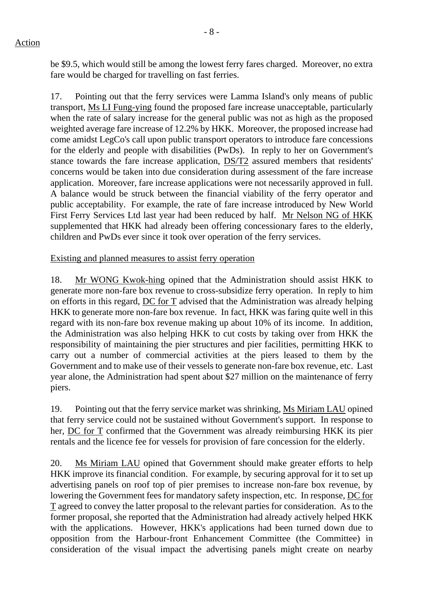## Action

be \$9.5, which would still be among the lowest ferry fares charged. Moreover, no extra fare would be charged for travelling on fast ferries.

17. Pointing out that the ferry services were Lamma Island's only means of public transport, Ms LI Fung-ying found the proposed fare increase unacceptable, particularly when the rate of salary increase for the general public was not as high as the proposed weighted average fare increase of 12.2% by HKK. Moreover, the proposed increase had come amidst LegCo's call upon public transport operators to introduce fare concessions for the elderly and people with disabilities (PwDs). In reply to her on Government's stance towards the fare increase application, DS/T2 assured members that residents' concerns would be taken into due consideration during assessment of the fare increase application. Moreover, fare increase applications were not necessarily approved in full. A balance would be struck between the financial viability of the ferry operator and public acceptability. For example, the rate of fare increase introduced by New World First Ferry Services Ltd last year had been reduced by half. Mr Nelson NG of HKK supplemented that HKK had already been offering concessionary fares to the elderly, children and PwDs ever since it took over operation of the ferry services.

Existing and planned measures to assist ferry operation

18. Mr WONG Kwok-hing opined that the Administration should assist HKK to generate more non-fare box revenue to cross-subsidize ferry operation. In reply to him on efforts in this regard, DC for T advised that the Administration was already helping HKK to generate more non-fare box revenue. In fact, HKK was faring quite well in this regard with its non-fare box revenue making up about 10% of its income. In addition, the Administration was also helping HKK to cut costs by taking over from HKK the responsibility of maintaining the pier structures and pier facilities, permitting HKK to carry out a number of commercial activities at the piers leased to them by the Government and to make use of their vessels to generate non-fare box revenue, etc. Last year alone, the Administration had spent about \$27 million on the maintenance of ferry piers.

19. Pointing out that the ferry service market was shrinking, Ms Miriam LAU opined that ferry service could not be sustained without Government's support. In response to her, DC for T confirmed that the Government was already reimbursing HKK its pier rentals and the licence fee for vessels for provision of fare concession for the elderly.

20. Ms Miriam LAU opined that Government should make greater efforts to help HKK improve its financial condition. For example, by securing approval for it to set up advertising panels on roof top of pier premises to increase non-fare box revenue, by lowering the Government fees for mandatory safety inspection, etc. In response, DC for T agreed to convey the latter proposal to the relevant parties for consideration. As to the former proposal, she reported that the Administration had already actively helped HKK with the applications. However, HKK's applications had been turned down due to opposition from the Harbour-front Enhancement Committee (the Committee) in consideration of the visual impact the advertising panels might create on nearby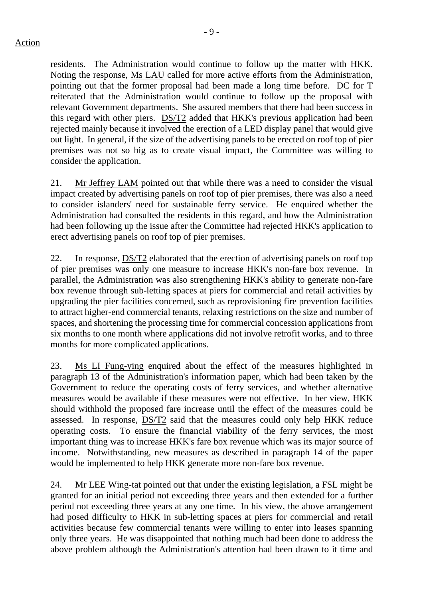residents. The Administration would continue to follow up the matter with HKK. Noting the response, Ms LAU called for more active efforts from the Administration, pointing out that the former proposal had been made a long time before. DC for T reiterated that the Administration would continue to follow up the proposal with relevant Government departments. She assured members that there had been success in this regard with other piers. DS/T2 added that HKK's previous application had been rejected mainly because it involved the erection of a LED display panel that would give out light. In general, if the size of the advertising panels to be erected on roof top of pier premises was not so big as to create visual impact, the Committee was willing to consider the application.

21. Mr Jeffrey LAM pointed out that while there was a need to consider the visual impact created by advertising panels on roof top of pier premises, there was also a need to consider islanders' need for sustainable ferry service. He enquired whether the Administration had consulted the residents in this regard, and how the Administration had been following up the issue after the Committee had rejected HKK's application to erect advertising panels on roof top of pier premises.

22. In response, DS/T2 elaborated that the erection of advertising panels on roof top of pier premises was only one measure to increase HKK's non-fare box revenue. In parallel, the Administration was also strengthening HKK's ability to generate non-fare box revenue through sub-letting spaces at piers for commercial and retail activities by upgrading the pier facilities concerned, such as reprovisioning fire prevention facilities to attract higher-end commercial tenants, relaxing restrictions on the size and number of spaces, and shortening the processing time for commercial concession applications from six months to one month where applications did not involve retrofit works, and to three months for more complicated applications.

23. Ms LI Fung-ying enquired about the effect of the measures highlighted in paragraph 13 of the Administration's information paper, which had been taken by the Government to reduce the operating costs of ferry services, and whether alternative measures would be available if these measures were not effective. In her view, HKK should withhold the proposed fare increase until the effect of the measures could be assessed. In response, DS/T2 said that the measures could only help HKK reduce operating costs. To ensure the financial viability of the ferry services, the most important thing was to increase HKK's fare box revenue which was its major source of income. Notwithstanding, new measures as described in paragraph 14 of the paper would be implemented to help HKK generate more non-fare box revenue.

24. Mr LEE Wing-tat pointed out that under the existing legislation, a FSL might be granted for an initial period not exceeding three years and then extended for a further period not exceeding three years at any one time. In his view, the above arrangement had posed difficulty to HKK in sub-letting spaces at piers for commercial and retail activities because few commercial tenants were willing to enter into leases spanning only three years. He was disappointed that nothing much had been done to address the above problem although the Administration's attention had been drawn to it time and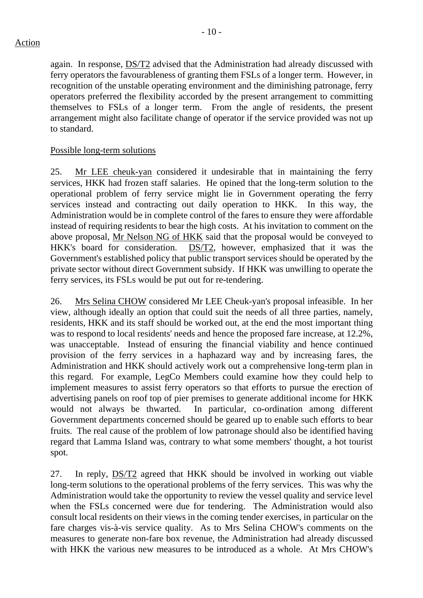again. In response, DS/T2 advised that the Administration had already discussed with ferry operators the favourableness of granting them FSLs of a longer term. However, in recognition of the unstable operating environment and the diminishing patronage, ferry operators preferred the flexibility accorded by the present arrangement to committing themselves to FSLs of a longer term. From the angle of residents, the present arrangement might also facilitate change of operator if the service provided was not up to standard.

## Possible long-term solutions

25. Mr LEE cheuk-yan considered it undesirable that in maintaining the ferry services, HKK had frozen staff salaries. He opined that the long-term solution to the operational problem of ferry service might lie in Government operating the ferry services instead and contracting out daily operation to HKK. In this way, the Administration would be in complete control of the fares to ensure they were affordable instead of requiring residents to bear the high costs. At his invitation to comment on the above proposal, Mr Nelson NG of HKK said that the proposal would be conveyed to HKK's board for consideration. DS/T2, however, emphasized that it was the Government's established policy that public transport services should be operated by the private sector without direct Government subsidy. If HKK was unwilling to operate the ferry services, its FSLs would be put out for re-tendering.

26. Mrs Selina CHOW considered Mr LEE Cheuk-yan's proposal infeasible. In her view, although ideally an option that could suit the needs of all three parties, namely, residents, HKK and its staff should be worked out, at the end the most important thing was to respond to local residents' needs and hence the proposed fare increase, at 12.2%, was unacceptable. Instead of ensuring the financial viability and hence continued provision of the ferry services in a haphazard way and by increasing fares, the Administration and HKK should actively work out a comprehensive long-term plan in this regard. For example, LegCo Members could examine how they could help to implement measures to assist ferry operators so that efforts to pursue the erection of advertising panels on roof top of pier premises to generate additional income for HKK would not always be thwarted. In particular, co-ordination among different Government departments concerned should be geared up to enable such efforts to bear fruits. The real cause of the problem of low patronage should also be identified having regard that Lamma Island was, contrary to what some members' thought, a hot tourist spot.

27. In reply, DS/T2 agreed that HKK should be involved in working out viable long-term solutions to the operational problems of the ferry services. This was why the Administration would take the opportunity to review the vessel quality and service level when the FSLs concerned were due for tendering. The Administration would also consult local residents on their views in the coming tender exercises, in particular on the fare charges vis-à-vis service quality. As to Mrs Selina CHOW's comments on the measures to generate non-fare box revenue, the Administration had already discussed with HKK the various new measures to be introduced as a whole. At Mrs CHOW's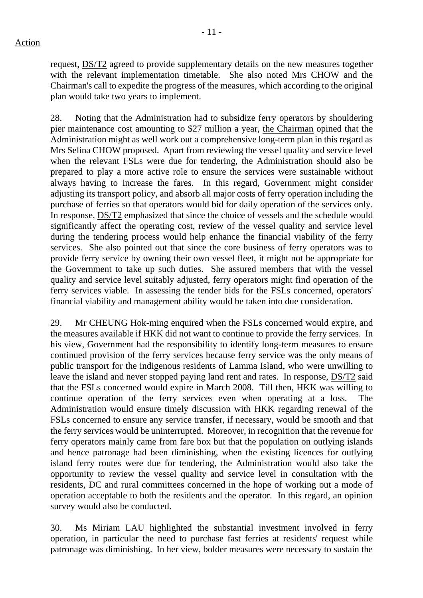- 11 -

request, DS/T2 agreed to provide supplementary details on the new measures together with the relevant implementation timetable. She also noted Mrs CHOW and the Chairman's call to expedite the progress of the measures, which according to the original plan would take two years to implement.

28. Noting that the Administration had to subsidize ferry operators by shouldering pier maintenance cost amounting to \$27 million a year, the Chairman opined that the Administration might as well work out a comprehensive long-term plan in this regard as Mrs Selina CHOW proposed. Apart from reviewing the vessel quality and service level when the relevant FSLs were due for tendering, the Administration should also be prepared to play a more active role to ensure the services were sustainable without always having to increase the fares. In this regard, Government might consider adjusting its transport policy, and absorb all major costs of ferry operation including the purchase of ferries so that operators would bid for daily operation of the services only. In response, DS/T2 emphasized that since the choice of vessels and the schedule would significantly affect the operating cost, review of the vessel quality and service level during the tendering process would help enhance the financial viability of the ferry services. She also pointed out that since the core business of ferry operators was to provide ferry service by owning their own vessel fleet, it might not be appropriate for the Government to take up such duties. She assured members that with the vessel quality and service level suitably adjusted, ferry operators might find operation of the ferry services viable. In assessing the tender bids for the FSLs concerned, operators' financial viability and management ability would be taken into due consideration.

29. Mr CHEUNG Hok-ming enquired when the FSLs concerned would expire, and the measures available if HKK did not want to continue to provide the ferry services. In his view, Government had the responsibility to identify long-term measures to ensure continued provision of the ferry services because ferry service was the only means of public transport for the indigenous residents of Lamma Island, who were unwilling to leave the island and never stopped paying land rent and rates. In response, DS/T2 said that the FSLs concerned would expire in March 2008. Till then, HKK was willing to continue operation of the ferry services even when operating at a loss. The Administration would ensure timely discussion with HKK regarding renewal of the FSLs concerned to ensure any service transfer, if necessary, would be smooth and that the ferry services would be uninterrupted. Moreover, in recognition that the revenue for ferry operators mainly came from fare box but that the population on outlying islands and hence patronage had been diminishing, when the existing licences for outlying island ferry routes were due for tendering, the Administration would also take the opportunity to review the vessel quality and service level in consultation with the residents, DC and rural committees concerned in the hope of working out a mode of operation acceptable to both the residents and the operator. In this regard, an opinion survey would also be conducted.

30. Ms Miriam LAU highlighted the substantial investment involved in ferry operation, in particular the need to purchase fast ferries at residents' request while patronage was diminishing. In her view, bolder measures were necessary to sustain the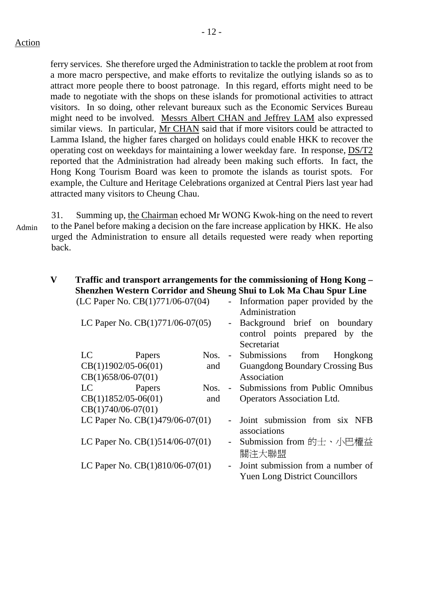ferry services. She therefore urged the Administration to tackle the problem at root from a more macro perspective, and make efforts to revitalize the outlying islands so as to attract more people there to boost patronage. In this regard, efforts might need to be made to negotiate with the shops on these islands for promotional activities to attract visitors. In so doing, other relevant bureaux such as the Economic Services Bureau might need to be involved. Messrs Albert CHAN and Jeffrey LAM also expressed similar views. In particular, Mr CHAN said that if more visitors could be attracted to Lamma Island, the higher fares charged on holidays could enable HKK to recover the operating cost on weekdays for maintaining a lower weekday fare. In response, DS/T2 reported that the Administration had already been making such efforts. In fact, the

Hong Kong Tourism Board was keen to promote the islands as tourist spots. For example, the Culture and Heritage Celebrations organized at Central Piers last year had attracted many visitors to Cheung Chau.

31. Summing up, the Chairman echoed Mr WONG Kwok-hing on the need to revert to the Panel before making a decision on the fare increase application by HKK. He also urged the Administration to ensure all details requested were ready when reporting back.

#### **V Traffic and transport arrangements for the commissioning of Hong Kong – Shenzhen Western Corridor and Sheung Shui to Lok Ma Chau Spur Line** *(LC Paner No. CB(1)771/06-07/04)* **- Information paner provided by the**  $\text{Per No. CR}(1)771/06-07(04)$  - Info

| LC Paper No. $CB(1)$ //1/06-0/(04) |        |      |                | - Information paper provided by the<br>Administration                         |
|------------------------------------|--------|------|----------------|-------------------------------------------------------------------------------|
| LC Paper No. CB(1)771/06-07(05)    |        |      | $\blacksquare$ | Background brief on boundary<br>control points prepared by the<br>Secretariat |
| LC                                 | Papers | Nos. |                | - Submissions from<br>Hongkong                                                |
| $CB(1)1902/05-06(01)$              |        | and  |                | <b>Guangdong Boundary Crossing Bus</b>                                        |
| $CB(1)658/06-07(01)$               |        |      |                | Association                                                                   |
| LC                                 | Papers | Nos. | $\equiv$       | Submissions from Public Omnibus                                               |
| $CB(1)1852/05-06(01)$              |        | and  |                | <b>Operators Association Ltd.</b>                                             |
| $CB(1)740/06-07(01)$               |        |      |                |                                                                               |
| LC Paper No. CB(1)479/06-07(01)    |        |      | $\blacksquare$ | Joint submission from six NFB<br>associations                                 |
| LC Paper No. $CB(1)514/06-07(01)$  |        |      | $\blacksquare$ | Submission from 的士、小巴權益<br>關注大聯盟                                              |
| LC Paper No. CB(1)810/06-07(01)    |        |      | $\blacksquare$ | Joint submission from a number of<br><b>Yuen Long District Councillors</b>    |

Admin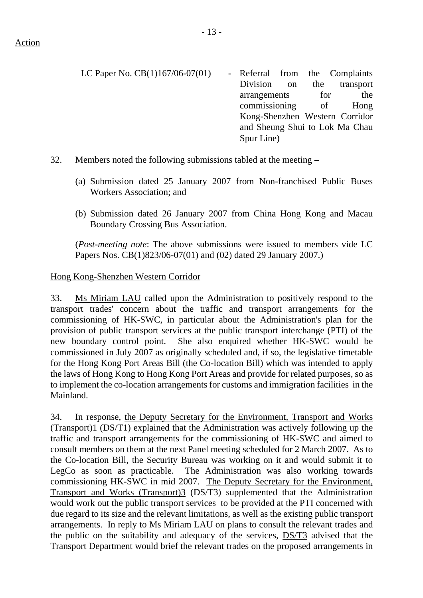- LC Paper No.  $CB(1)167/06-07(01)$  Referral from the Complaints Division on the transport arrangements for the commissioning of Hong Kong-Shenzhen Western Corridor and Sheung Shui to Lok Ma Chau Spur Line)
- 32. Members noted the following submissions tabled at the meeting
	- (a) Submission dated 25 January 2007 from Non-franchised Public Buses Workers Association; and
	- (b) Submission dated 26 January 2007 from China Hong Kong and Macau Boundary Crossing Bus Association.

(*Post-meeting note*: The above submissions were issued to members vide LC Papers Nos. CB(1)823/06-07(01) and (02) dated 29 January 2007.)

## Hong Kong-Shenzhen Western Corridor

33. Ms Miriam LAU called upon the Administration to positively respond to the transport trades' concern about the traffic and transport arrangements for the commissioning of HK-SWC, in particular about the Administration's plan for the provision of public transport services at the public transport interchange (PTI) of the new boundary control point. She also enquired whether HK-SWC would be commissioned in July 2007 as originally scheduled and, if so, the legislative timetable for the Hong Kong Port Areas Bill (the Co-location Bill) which was intended to apply the laws of Hong Kong to Hong Kong Port Areas and provide for related purposes, so as to implement the co-location arrangements for customs and immigration facilities in the Mainland.

34. In response, the Deputy Secretary for the Environment, Transport and Works (Transport)1 (DS/T1) explained that the Administration was actively following up the traffic and transport arrangements for the commissioning of HK-SWC and aimed to consult members on them at the next Panel meeting scheduled for 2 March 2007. As to the Co-location Bill, the Security Bureau was working on it and would submit it to LegCo as soon as practicable. The Administration was also working towards commissioning HK-SWC in mid 2007. The Deputy Secretary for the Environment, Transport and Works (Transport)3 (DS/T3) supplemented that the Administration would work out the public transport services to be provided at the PTI concerned with due regard to its size and the relevant limitations, as well as the existing public transport arrangements. In reply to Ms Miriam LAU on plans to consult the relevant trades and the public on the suitability and adequacy of the services, DS/T3 advised that the Transport Department would brief the relevant trades on the proposed arrangements in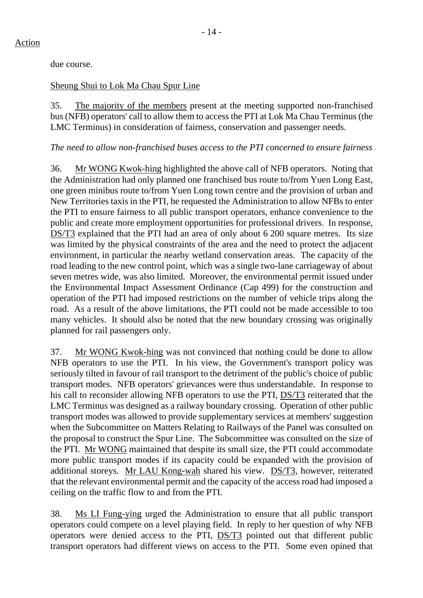due course.

# Sheung Shui to Lok Ma Chau Spur Line

35. The majority of the members present at the meeting supported non-franchised bus (NFB) operators' call to allow them to access the PTI at Lok Ma Chau Terminus (the LMC Terminus) in consideration of fairness, conservation and passenger needs.

*The need to allow non-franchised buses access to the PTI concerned to ensure fairness* 

36. Mr WONG Kwok-hing highlighted the above call of NFB operators. Noting that the Administration had only planned one franchised bus route to/from Yuen Long East, one green minibus route to/from Yuen Long town centre and the provision of urban and New Territories taxis in the PTI, he requested the Administration to allow NFBs to enter the PTI to ensure fairness to all public transport operators, enhance convenience to the public and create more employment opportunities for professional drivers. In response, DS/T3 explained that the PTI had an area of only about 6 200 square metres. Its size was limited by the physical constraints of the area and the need to protect the adjacent environment, in particular the nearby wetland conservation areas. The capacity of the road leading to the new control point, which was a single two-lane carriageway of about seven metres wide, was also limited. Moreover, the environmental permit issued under the Environmental Impact Assessment Ordinance (Cap 499) for the construction and operation of the PTI had imposed restrictions on the number of vehicle trips along the road. As a result of the above limitations, the PTI could not be made accessible to too many vehicles. It should also be noted that the new boundary crossing was originally planned for rail passengers only.

37. Mr WONG Kwok-hing was not convinced that nothing could be done to allow NFB operators to use the PTI. In his view, the Government's transport policy was seriously tilted in favour of rail transport to the detriment of the public's choice of public transport modes. NFB operators' grievances were thus understandable. In response to his call to reconsider allowing NFB operators to use the PTI, DS/T3 reiterated that the LMC Terminus was designed as a railway boundary crossing. Operation of other public transport modes was allowed to provide supplementary services at members' suggestion when the Subcommittee on Matters Relating to Railways of the Panel was consulted on the proposal to construct the Spur Line. The Subcommittee was consulted on the size of the PTI. Mr WONG maintained that despite its small size, the PTI could accommodate more public transport modes if its capacity could be expanded with the provision of additional storeys. Mr LAU Kong-wah shared his view. DS/T3, however, reiterated that the relevant environmental permit and the capacity of the access road had imposed a ceiling on the traffic flow to and from the PTI.

38. Ms LI Fung-ying urged the Administration to ensure that all public transport operators could compete on a level playing field. In reply to her question of why NFB operators were denied access to the PTI, DS/T3 pointed out that different public transport operators had different views on access to the PTI. Some even opined that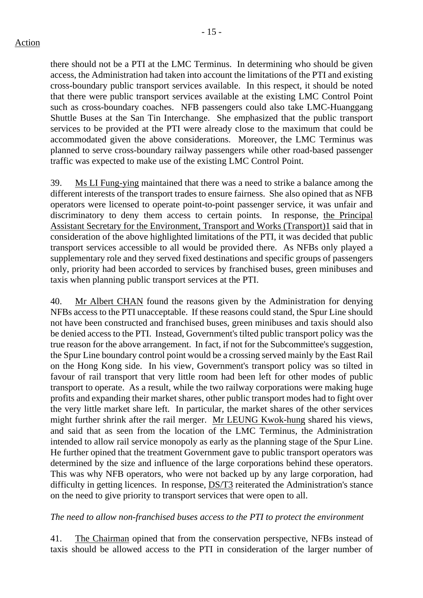there should not be a PTI at the LMC Terminus. In determining who should be given access, the Administration had taken into account the limitations of the PTI and existing cross-boundary public transport services available. In this respect, it should be noted that there were public transport services available at the existing LMC Control Point such as cross-boundary coaches. NFB passengers could also take LMC-Huanggang Shuttle Buses at the San Tin Interchange. She emphasized that the public transport services to be provided at the PTI were already close to the maximum that could be accommodated given the above considerations. Moreover, the LMC Terminus was planned to serve cross-boundary railway passengers while other road-based passenger traffic was expected to make use of the existing LMC Control Point.

39. Ms LI Fung-ying maintained that there was a need to strike a balance among the different interests of the transport trades to ensure fairness. She also opined that as NFB operators were licensed to operate point-to-point passenger service, it was unfair and discriminatory to deny them access to certain points. In response, the Principal Assistant Secretary for the Environment, Transport and Works (Transport)1 said that in consideration of the above highlighted limitations of the PTI, it was decided that public transport services accessible to all would be provided there. As NFBs only played a supplementary role and they served fixed destinations and specific groups of passengers only, priority had been accorded to services by franchised buses, green minibuses and taxis when planning public transport services at the PTI.

40. Mr Albert CHAN found the reasons given by the Administration for denying NFBs access to the PTI unacceptable. If these reasons could stand, the Spur Line should not have been constructed and franchised buses, green minibuses and taxis should also be denied access to the PTI. Instead, Government's tilted public transport policy was the true reason for the above arrangement. In fact, if not for the Subcommittee's suggestion, the Spur Line boundary control point would be a crossing served mainly by the East Rail on the Hong Kong side. In his view, Government's transport policy was so tilted in favour of rail transport that very little room had been left for other modes of public transport to operate. As a result, while the two railway corporations were making huge profits and expanding their market shares, other public transport modes had to fight over the very little market share left. In particular, the market shares of the other services might further shrink after the rail merger. Mr LEUNG Kwok-hung shared his views, and said that as seen from the location of the LMC Terminus, the Administration intended to allow rail service monopoly as early as the planning stage of the Spur Line. He further opined that the treatment Government gave to public transport operators was determined by the size and influence of the large corporations behind these operators. This was why NFB operators, who were not backed up by any large corporation, had difficulty in getting licences. In response, DS/T3 reiterated the Administration's stance on the need to give priority to transport services that were open to all.

#### *The need to allow non-franchised buses access to the PTI to protect the environment*

41. The Chairman opined that from the conservation perspective, NFBs instead of taxis should be allowed access to the PTI in consideration of the larger number of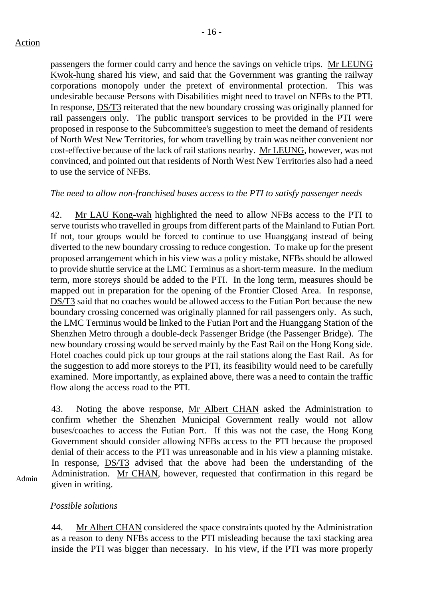passengers the former could carry and hence the savings on vehicle trips. Mr LEUNG Kwok-hung shared his view, and said that the Government was granting the railway corporations monopoly under the pretext of environmental protection. This was undesirable because Persons with Disabilities might need to travel on NFBs to the PTI. In response, DS/T3 reiterated that the new boundary crossing was originally planned for rail passengers only. The public transport services to be provided in the PTI were proposed in response to the Subcommittee's suggestion to meet the demand of residents of North West New Territories, for whom travelling by train was neither convenient nor cost-effective because of the lack of rail stations nearby. Mr LEUNG, however, was not convinced, and pointed out that residents of North West New Territories also had a need to use the service of NFBs.

#### *The need to allow non-franchised buses access to the PTI to satisfy passenger needs*

42. Mr LAU Kong-wah highlighted the need to allow NFBs access to the PTI to serve tourists who travelled in groups from different parts of the Mainland to Futian Port. If not, tour groups would be forced to continue to use Huanggang instead of being diverted to the new boundary crossing to reduce congestion. To make up for the present proposed arrangement which in his view was a policy mistake, NFBs should be allowed to provide shuttle service at the LMC Terminus as a short-term measure. In the medium term, more storeys should be added to the PTI. In the long term, measures should be mapped out in preparation for the opening of the Frontier Closed Area. In response, DS/T3 said that no coaches would be allowed access to the Futian Port because the new boundary crossing concerned was originally planned for rail passengers only. As such, the LMC Terminus would be linked to the Futian Port and the Huanggang Station of the Shenzhen Metro through a double-deck Passenger Bridge (the Passenger Bridge). The new boundary crossing would be served mainly by the East Rail on the Hong Kong side. Hotel coaches could pick up tour groups at the rail stations along the East Rail. As for the suggestion to add more storeys to the PTI, its feasibility would need to be carefully examined. More importantly, as explained above, there was a need to contain the traffic flow along the access road to the PTI.

43. Noting the above response, Mr Albert CHAN asked the Administration to confirm whether the Shenzhen Municipal Government really would not allow buses/coaches to access the Futian Port. If this was not the case, the Hong Kong Government should consider allowing NFBs access to the PTI because the proposed denial of their access to the PTI was unreasonable and in his view a planning mistake. In response, <u>DS/T3</u> advised that the above had been the understanding of the Administration. Mr CHAN, however, requested that confirmation in this regard be given in writing.

Admin

#### *Possible solutions*

44. Mr Albert CHAN considered the space constraints quoted by the Administration as a reason to deny NFBs access to the PTI misleading because the taxi stacking area inside the PTI was bigger than necessary. In his view, if the PTI was more properly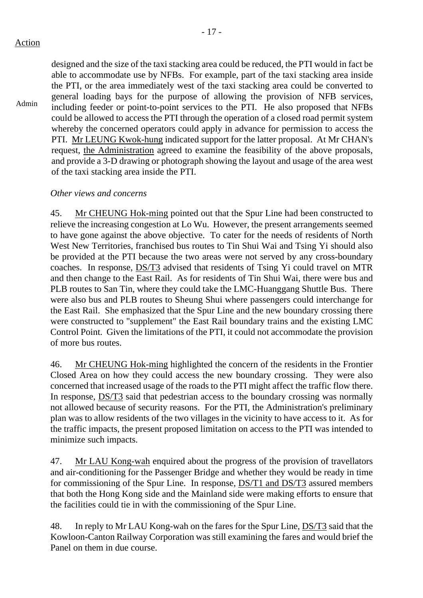Admin

designed and the size of the taxi stacking area could be reduced, the PTI would in fact be able to accommodate use by NFBs. For example, part of the taxi stacking area inside the PTI, or the area immediately west of the taxi stacking area could be converted to general loading bays for the purpose of allowing the provision of NFB services, including feeder or point-to-point services to the PTI. He also proposed that NFBs could be allowed to access the PTI through the operation of a closed road permit system whereby the concerned operators could apply in advance for permission to access the PTI. Mr LEUNG Kwok-hung indicated support for the latter proposal. At Mr CHAN's request, the Administration agreed to examine the feasibility of the above proposals, and provide a 3-D drawing or photograph showing the layout and usage of the area west of the taxi stacking area inside the PTI.

## *Other views and concerns*

45. Mr CHEUNG Hok-ming pointed out that the Spur Line had been constructed to relieve the increasing congestion at Lo Wu. However, the present arrangements seemed to have gone against the above objective. To cater for the needs of residents of North West New Territories, franchised bus routes to Tin Shui Wai and Tsing Yi should also be provided at the PTI because the two areas were not served by any cross-boundary coaches. In response, DS/T3 advised that residents of Tsing Yi could travel on MTR and then change to the East Rail. As for residents of Tin Shui Wai, there were bus and PLB routes to San Tin, where they could take the LMC-Huanggang Shuttle Bus. There were also bus and PLB routes to Sheung Shui where passengers could interchange for the East Rail. She emphasized that the Spur Line and the new boundary crossing there were constructed to "supplement" the East Rail boundary trains and the existing LMC Control Point. Given the limitations of the PTI, it could not accommodate the provision of more bus routes.

46. Mr CHEUNG Hok-ming highlighted the concern of the residents in the Frontier Closed Area on how they could access the new boundary crossing. They were also concerned that increased usage of the roads to the PTI might affect the traffic flow there. In response, DS/T3 said that pedestrian access to the boundary crossing was normally not allowed because of security reasons. For the PTI, the Administration's preliminary plan was to allow residents of the two villages in the vicinity to have access to it. As for the traffic impacts, the present proposed limitation on access to the PTI was intended to minimize such impacts.

47. Mr LAU Kong-wah enquired about the progress of the provision of travellators and air-conditioning for the Passenger Bridge and whether they would be ready in time for commissioning of the Spur Line. In response, DS/T1 and DS/T3 assured members that both the Hong Kong side and the Mainland side were making efforts to ensure that the facilities could tie in with the commissioning of the Spur Line.

48. In reply to Mr LAU Kong-wah on the fares for the Spur Line, DS/T3 said that the Kowloon-Canton Railway Corporation was still examining the fares and would brief the Panel on them in due course.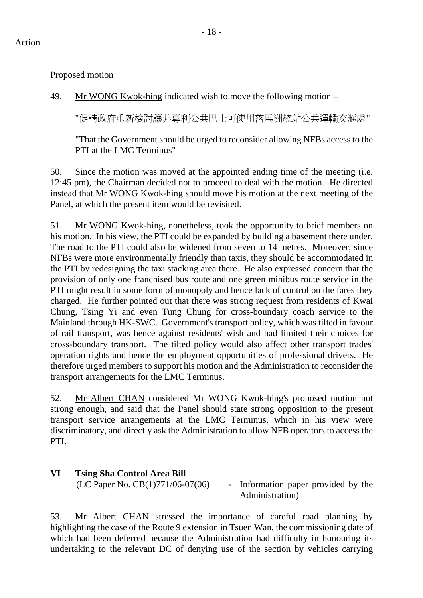Proposed motion

49. Mr WONG Kwok-hing indicated wish to move the following motion –

"促請政府重新檢討讓非專利公共巴士可使用落馬洲總站公共運輸交滙處"

"That the Government should be urged to reconsider allowing NFBs access to the PTI at the LMC Terminus"

50. Since the motion was moved at the appointed ending time of the meeting (i.e. 12:45 pm), the Chairman decided not to proceed to deal with the motion. He directed instead that Mr WONG Kwok-hing should move his motion at the next meeting of the Panel, at which the present item would be revisited.

51. Mr WONG Kwok-hing, nonetheless, took the opportunity to brief members on his motion. In his view, the PTI could be expanded by building a basement there under. The road to the PTI could also be widened from seven to 14 metres. Moreover, since NFBs were more environmentally friendly than taxis, they should be accommodated in the PTI by redesigning the taxi stacking area there. He also expressed concern that the provision of only one franchised bus route and one green minibus route service in the PTI might result in some form of monopoly and hence lack of control on the fares they charged. He further pointed out that there was strong request from residents of Kwai Chung, Tsing Yi and even Tung Chung for cross-boundary coach service to the Mainland through HK-SWC. Government's transport policy, which was tilted in favour of rail transport, was hence against residents' wish and had limited their choices for cross-boundary transport. The tilted policy would also affect other transport trades' operation rights and hence the employment opportunities of professional drivers. He therefore urged members to support his motion and the Administration to reconsider the transport arrangements for the LMC Terminus.

52. Mr Albert CHAN considered Mr WONG Kwok-hing's proposed motion not strong enough, and said that the Panel should state strong opposition to the present transport service arrangements at the LMC Terminus, which in his view were discriminatory, and directly ask the Administration to allow NFB operators to access the PTI.

**VI Tsing Sha Control Area Bill** 

 $(LC$  Paper No.  $CB(1)771/06-07(06)$  - Information paper provided by the Administration)

53. Mr Albert CHAN stressed the importance of careful road planning by highlighting the case of the Route 9 extension in Tsuen Wan, the commissioning date of which had been deferred because the Administration had difficulty in honouring its undertaking to the relevant DC of denying use of the section by vehicles carrying